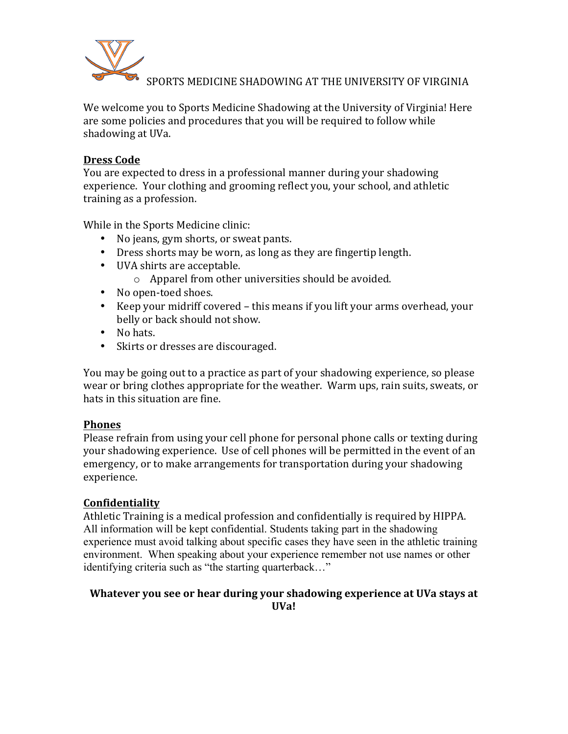

SPORTS MEDICINE SHADOWING AT THE UNIVERSITY OF VIRGINIA

We welcome you to Sports Medicine Shadowing at the University of Virginia! Here are some policies and procedures that you will be required to follow while shadowing at UVa.

### **Dress Code**

You are expected to dress in a professional manner during your shadowing experience. Your clothing and grooming reflect you, your school, and athletic training as a profession.

While in the Sports Medicine clinic:

- No jeans, gym shorts, or sweat pants.
- Dress shorts may be worn, as long as they are fingertip length.
- UVA shirts are acceptable.
	- $\circ$  Apparel from other universities should be avoided.
- No open-toed shoes.
- Keep your midriff covered this means if you lift your arms overhead, your belly or back should not show.
- No hats.
- Skirts or dresses are discouraged.

You may be going out to a practice as part of your shadowing experience, so please wear or bring clothes appropriate for the weather. Warm ups, rain suits, sweats, or hats in this situation are fine.

#### **Phones%**

Please refrain from using your cell phone for personal phone calls or texting during your shadowing experience. Use of cell phones will be permitted in the event of an emergency, or to make arrangements for transportation during your shadowing experience.

# **Confidentiality**

Athletic Training is a medical profession and confidentially is required by HIPPA. All information will be kept confidential. Students taking part in the shadowing experience must avoid talking about specific cases they have seen in the athletic training environment. When speaking about your experience remember not use names or other identifying criteria such as "the starting quarterback…"

## **Whatever you see or hear during your shadowing experience at UVa stays at UVa!**